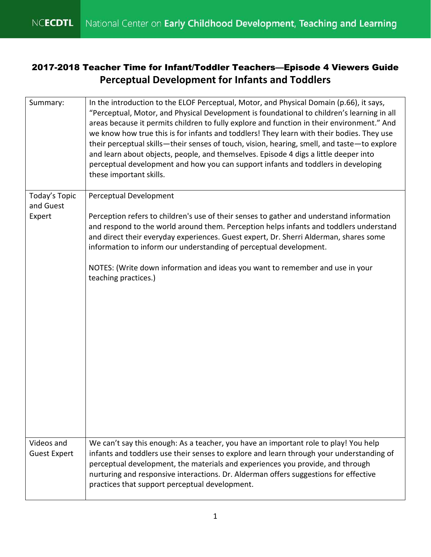## 2017-2018 Teacher Time for Infant/Toddler Teachers—Episode 4 Viewers Guide **Perceptual Development for Infants and Toddlers**

| Summary:                          | In the introduction to the ELOF Perceptual, Motor, and Physical Domain (p.66), it says,<br>"Perceptual, Motor, and Physical Development is foundational to children's learning in all<br>areas because it permits children to fully explore and function in their environment." And<br>we know how true this is for infants and toddlers! They learn with their bodies. They use<br>their perceptual skills—their senses of touch, vision, hearing, smell, and taste—to explore<br>and learn about objects, people, and themselves. Episode 4 digs a little deeper into<br>perceptual development and how you can support infants and toddlers in developing<br>these important skills. |
|-----------------------------------|-----------------------------------------------------------------------------------------------------------------------------------------------------------------------------------------------------------------------------------------------------------------------------------------------------------------------------------------------------------------------------------------------------------------------------------------------------------------------------------------------------------------------------------------------------------------------------------------------------------------------------------------------------------------------------------------|
| Today's Topic<br>and Guest        | Perceptual Development                                                                                                                                                                                                                                                                                                                                                                                                                                                                                                                                                                                                                                                                  |
| Expert                            | Perception refers to children's use of their senses to gather and understand information<br>and respond to the world around them. Perception helps infants and toddlers understand<br>and direct their everyday experiences. Guest expert, Dr. Sherri Alderman, shares some<br>information to inform our understanding of perceptual development.                                                                                                                                                                                                                                                                                                                                       |
|                                   | NOTES: (Write down information and ideas you want to remember and use in your<br>teaching practices.)                                                                                                                                                                                                                                                                                                                                                                                                                                                                                                                                                                                   |
| Videos and<br><b>Guest Expert</b> | We can't say this enough: As a teacher, you have an important role to play! You help<br>infants and toddlers use their senses to explore and learn through your understanding of<br>perceptual development, the materials and experiences you provide, and through<br>nurturing and responsive interactions. Dr. Alderman offers suggestions for effective<br>practices that support perceptual development.                                                                                                                                                                                                                                                                            |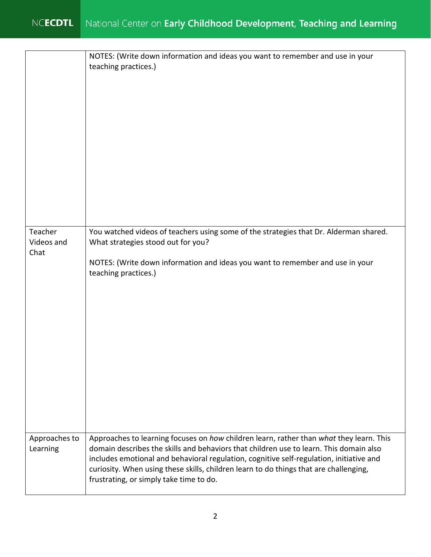|                           | NOTES: (Write down information and ideas you want to remember and use in your<br>teaching practices.)                                                                                                                                                                                                                                                                                                            |
|---------------------------|------------------------------------------------------------------------------------------------------------------------------------------------------------------------------------------------------------------------------------------------------------------------------------------------------------------------------------------------------------------------------------------------------------------|
| Teacher                   | You watched videos of teachers using some of the strategies that Dr. Alderman shared.                                                                                                                                                                                                                                                                                                                            |
| Videos and                | What strategies stood out for you?                                                                                                                                                                                                                                                                                                                                                                               |
| Chat                      | NOTES: (Write down information and ideas you want to remember and use in your                                                                                                                                                                                                                                                                                                                                    |
|                           | teaching practices.)                                                                                                                                                                                                                                                                                                                                                                                             |
|                           |                                                                                                                                                                                                                                                                                                                                                                                                                  |
| Approaches to<br>Learning | Approaches to learning focuses on how children learn, rather than what they learn. This<br>domain describes the skills and behaviors that children use to learn. This domain also<br>includes emotional and behavioral regulation, cognitive self-regulation, initiative and<br>curiosity. When using these skills, children learn to do things that are challenging,<br>frustrating, or simply take time to do. |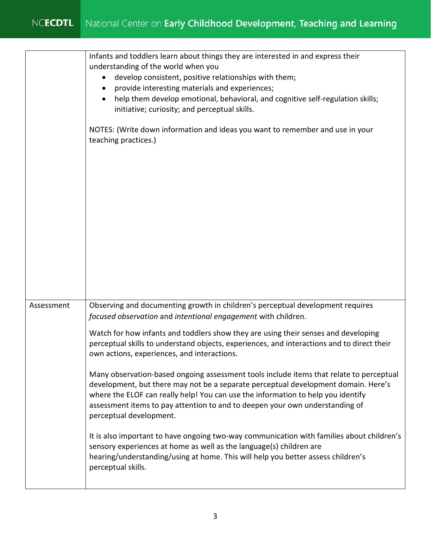|            | Infants and toddlers learn about things they are interested in and express their<br>understanding of the world when you<br>develop consistent, positive relationships with them;<br>provide interesting materials and experiences;<br>help them develop emotional, behavioral, and cognitive self-regulation skills;<br>initiative; curiosity; and perceptual skills.<br>NOTES: (Write down information and ideas you want to remember and use in your<br>teaching practices.) |
|------------|--------------------------------------------------------------------------------------------------------------------------------------------------------------------------------------------------------------------------------------------------------------------------------------------------------------------------------------------------------------------------------------------------------------------------------------------------------------------------------|
| Assessment | Observing and documenting growth in children's perceptual development requires<br>focused observation and intentional engagement with children.                                                                                                                                                                                                                                                                                                                                |
|            | Watch for how infants and toddlers show they are using their senses and developing<br>perceptual skills to understand objects, experiences, and interactions and to direct their<br>own actions, experiences, and interactions.                                                                                                                                                                                                                                                |
|            | Many observation-based ongoing assessment tools include items that relate to perceptual<br>development, but there may not be a separate perceptual development domain. Here's<br>where the ELOF can really help! You can use the information to help you identify<br>assessment items to pay attention to and to deepen your own understanding of<br>perceptual development.                                                                                                   |
|            | It is also important to have ongoing two-way communication with families about children's<br>sensory experiences at home as well as the language(s) children are<br>hearing/understanding/using at home. This will help you better assess children's<br>perceptual skills.                                                                                                                                                                                                     |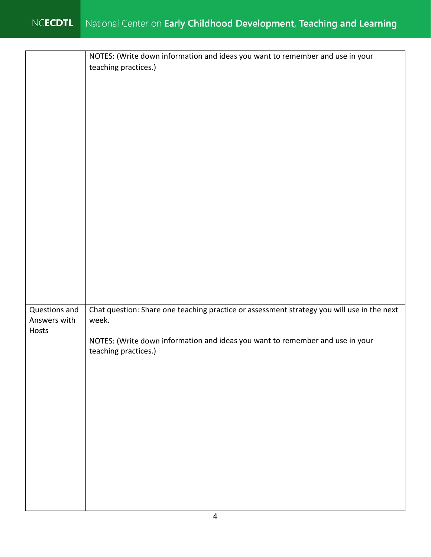|                                        | NOTES: (Write down information and ideas you want to remember and use in your<br>teaching practices.)                                                                                                        |
|----------------------------------------|--------------------------------------------------------------------------------------------------------------------------------------------------------------------------------------------------------------|
| Questions and<br>Answers with<br>Hosts | Chat question: Share one teaching practice or assessment strategy you will use in the next<br>week.<br>NOTES: (Write down information and ideas you want to remember and use in your<br>teaching practices.) |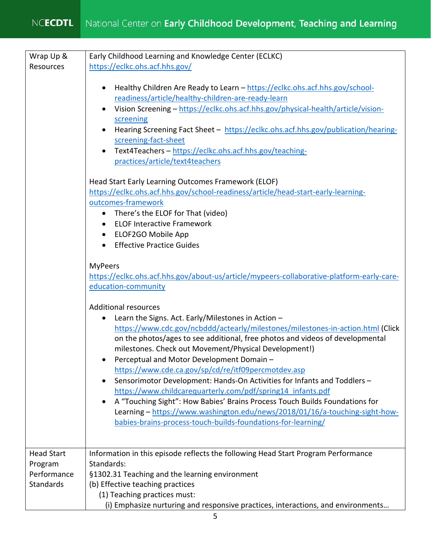| Wrap Up &                                                       | Early Childhood Learning and Knowledge Center (ECLKC)                                                                                                                                                                                                                                                                                                                                                                                                                                                                                                                                                                                                                                                                                                                                                      |
|-----------------------------------------------------------------|------------------------------------------------------------------------------------------------------------------------------------------------------------------------------------------------------------------------------------------------------------------------------------------------------------------------------------------------------------------------------------------------------------------------------------------------------------------------------------------------------------------------------------------------------------------------------------------------------------------------------------------------------------------------------------------------------------------------------------------------------------------------------------------------------------|
| Resources                                                       | https://eclkc.ohs.acf.hhs.gov/                                                                                                                                                                                                                                                                                                                                                                                                                                                                                                                                                                                                                                                                                                                                                                             |
|                                                                 | Healthy Children Are Ready to Learn - https://eclkc.ohs.acf.hhs.gov/school-<br>$\bullet$<br>readiness/article/healthy-children-are-ready-learn<br>Vision Screening - https://eclkc.ohs.acf.hhs.gov/physical-health/article/vision-<br>$\bullet$<br>screening<br>Hearing Screening Fact Sheet - https://eclkc.ohs.acf.hhs.gov/publication/hearing-<br>$\bullet$<br>screening-fact-sheet<br>Text4Teachers - https://eclkc.ohs.acf.hhs.gov/teaching-<br>$\bullet$<br>practices/article/text4teachers<br>Head Start Early Learning Outcomes Framework (ELOF)<br>https://eclkc.ohs.acf.hhs.gov/school-readiness/article/head-start-early-learning-<br>outcomes-framework<br>There's the ELOF for That (video)<br>$\bullet$<br><b>ELOF Interactive Framework</b><br>$\bullet$<br>ELOF2GO Mobile App<br>$\bullet$ |
|                                                                 | <b>Effective Practice Guides</b>                                                                                                                                                                                                                                                                                                                                                                                                                                                                                                                                                                                                                                                                                                                                                                           |
|                                                                 | <b>MyPeers</b><br>https://eclkc.ohs.acf.hhs.gov/about-us/article/mypeers-collaborative-platform-early-care-<br>education-community<br><b>Additional resources</b>                                                                                                                                                                                                                                                                                                                                                                                                                                                                                                                                                                                                                                          |
|                                                                 | Learn the Signs. Act. Early/Milestones in Action -<br>$\bullet$<br>https://www.cdc.gov/ncbddd/actearly/milestones/milestones-in-action.html (Click<br>on the photos/ages to see additional, free photos and videos of developmental<br>milestones. Check out Movement/Physical Development!)<br>Perceptual and Motor Development Domain -<br>https://www.cde.ca.gov/sp/cd/re/itf09percmotdev.asp<br>Sensorimotor Development: Hands-On Activities for Infants and Toddlers -<br>$\bullet$<br>https://www.childcarequarterly.com/pdf/spring14 infants.pdf<br>A "Touching Sight": How Babies' Brains Process Touch Builds Foundations for<br>$\bullet$<br>Learning - https://www.washington.edu/news/2018/01/16/a-touching-sight-how-<br>babies-brains-process-touch-builds-foundations-for-learning/        |
| <b>Head Start</b><br>Program<br>Performance<br><b>Standards</b> | Information in this episode reflects the following Head Start Program Performance<br>Standards:<br>§1302.31 Teaching and the learning environment<br>(b) Effective teaching practices<br>(1) Teaching practices must:<br>(i) Emphasize nurturing and responsive practices, interactions, and environments                                                                                                                                                                                                                                                                                                                                                                                                                                                                                                  |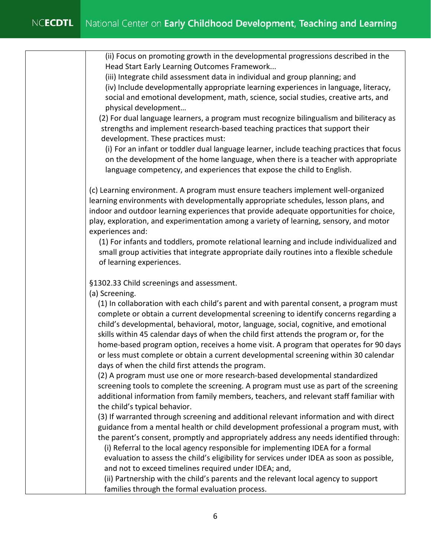(ii) Focus on promoting growth in the developmental progressions described in the Head Start Early Learning Outcomes Framework...

 (iv) Include developmentally appropriate learning experiences in language, literacy, social and emotional development, math, science, social studies, creative arts, and (iii) Integrate child assessment data in individual and group planning; and physical development…

(2) For dual language learners, a program must recognize bilingualism and biliteracy as strengths and implement research-based teaching practices that support their development. These practices must:

 (i) For an infant or toddler dual language learner, include teaching practices that focus on the development of the home language, when there is a teacher with appropriate language competency, and experiences that expose the child to English.

 indoor and outdoor learning experiences that provide adequate opportunities for choice, (c) Learning environment. A program must ensure teachers implement well-organized learning environments with developmentally appropriate schedules, lesson plans, and play, exploration, and experimentation among a variety of learning, sensory, and motor experiences and:

(1) For infants and toddlers, promote relational learning and include individualized and small group activities that integrate appropriate daily routines into a flexible schedule of learning experiences.

§1302.33 Child screenings and assessment.

(a) Screening.

 (1) In collaboration with each child's parent and with parental consent, a program must skills within 45 calendar days of when the child first attends the program or, for the complete or obtain a current developmental screening to identify concerns regarding a child's developmental, behavioral, motor, language, social, cognitive, and emotional home-based program option, receives a home visit. A program that operates for 90 days or less must complete or obtain a current developmental screening within 30 calendar days of when the child first attends the program.

 (2) A program must use one or more research-based developmental standardized screening tools to complete the screening. A program must use as part of the screening additional information from family members, teachers, and relevant staff familiar with the child's typical behavior.

 (3) If warranted through screening and additional relevant information and with direct guidance from a mental health or child development professional a program must, with the parent's consent, promptly and appropriately address any needs identified through:

(i) Referral to the local agency responsible for implementing IDEA for a formal evaluation to assess the child's eligibility for services under IDEA as soon as possible, and not to exceed timelines required under IDEA; and,

 (ii) Partnership with the child's parents and the relevant local agency to support families through the formal evaluation process.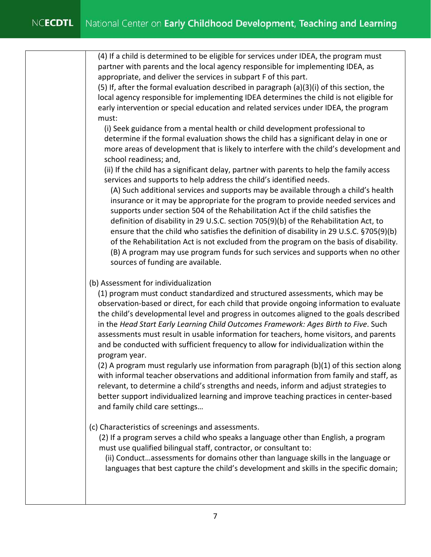appropriate, and deliver the services in subpart F of this part. (4) If a child is determined to be eligible for services under IDEA, the program must partner with parents and the local agency responsible for implementing IDEA, as

 (5) If, after the formal evaluation described in paragraph (a)(3)(i) of this section, the early intervention or special education and related services under IDEA, the program local agency responsible for implementing IDEA determines the child is not eligible for must:

 determine if the formal evaluation shows the child has a significant delay in one or more areas of development that is likely to interfere with the child's development and (i) Seek guidance from a mental health or child development professional to school readiness; and,

 (ii) If the child has a significant delay, partner with parents to help the family access services and supports to help address the child's identified needs.

 (A) Such additional services and supports may be available through a child's health of the Rehabilitation Act is not excluded from the program on the basis of disability. (B) A program may use program funds for such services and supports when no other insurance or it may be appropriate for the program to provide needed services and supports under section 504 of the Rehabilitation Act if the child satisfies the definition of disability in 29 U.S.C. section 705(9)(b) of the Rehabilitation Act, to ensure that the child who satisfies the definition of disability in 29 U.S.C. §705(9)(b) sources of funding are available.

## (b) Assessment for individualization

 observation-based or direct, for each child that provide ongoing information to evaluate assessments must result in usable information for teachers, home visitors, and parents and be conducted with sufficient frequency to allow for individualization within the (1) program must conduct standardized and structured assessments, which may be the child's developmental level and progress in outcomes aligned to the goals described in the *Head Start Early Learning Child Outcomes Framework: Ages Birth to Five*. Such program year.

 $(2)$  A program must regularly use information from paragraph  $(b)(1)$  of this section along with informal teacher observations and additional information from family and staff, as relevant, to determine a child's strengths and needs, inform and adjust strategies to better support individualized learning and improve teaching practices in center-based and family child care settings…

(c) Characteristics of screenings and assessments.

 must use qualified bilingual staff, contractor, or consultant to: (2) If a program serves a child who speaks a language other than English, a program

(ii) Conduct…assessments for domains other than language skills in the language or languages that best capture the child's development and skills in the specific domain;